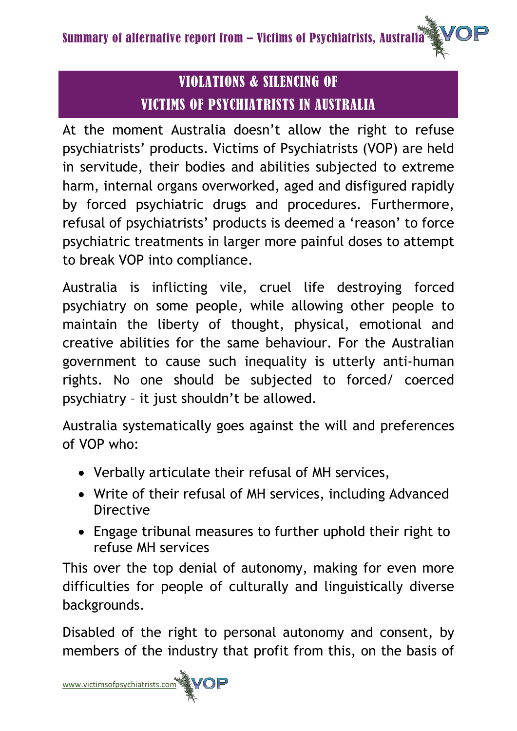# VIOLATIONS & SILENCING OF VICTIMS OF PSYCHIATRISTS IN AUSTRALIA

At the moment Australia doesn't allow the right to refuse psychiatrists' products. Victims of Psychiatrists (VOP) are held in servitude, their bodies and abilities subjected to extreme harm, internal organs overworked, aged and disfigured rapidly by forced psychiatric drugs and procedures. Furthermore, refusal of psychiatrists' products is deemed a 'reason' to force psychiatric treatments in larger more painful doses to attempt to break VOP into compliance.

Australia is inflicting vile, cruel life destroying forced psychiatry on some people, while allowing other people to maintain the liberty of thought, physical, emotional and creative abilities for the same behaviour. For the Australian government to cause such inequality is utterly anti-human rights. No one should be subjected to forced/ coerced psychiatry – it just shouldn't be allowed.

Australia systematically goes against the will and preferences of VOP who:

- Verbally articulate their refusal of MH services,
- Write of their refusal of MH services, including Advanced Directive
- Engage tribunal measures to further uphold their right to refuse MH services

This over the top denial of autonomy, making for even more difficulties for people of culturally and linguistically diverse backgrounds.

Disabled of the right to personal autonomy and consent, by members of the industry that profit from this, on the basis of

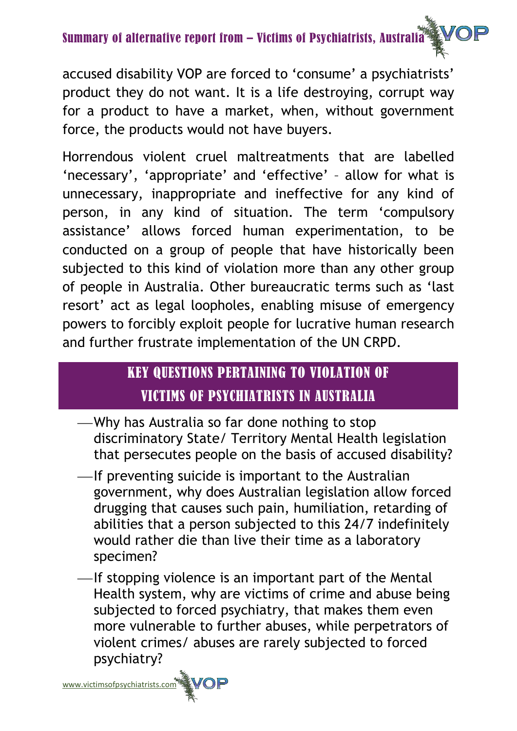# Summary of alternative report from – Victims of Psychiatrists, Australia

accused disability VOP are forced to 'consume' a psychiatrists' product they do not want. It is a life destroying, corrupt way for a product to have a market, when, without government force, the products would not have buyers.

Horrendous violent cruel maltreatments that are labelled 'necessary', 'appropriate' and 'effective' – allow for what is unnecessary, inappropriate and ineffective for any kind of person, in any kind of situation. The term 'compulsory assistance' allows forced human experimentation, to be conducted on a group of people that have historically been subjected to this kind of violation more than any other group of people in Australia. Other bureaucratic terms such as 'last resort' act as legal loopholes, enabling misuse of emergency powers to forcibly exploit people for lucrative human research and further frustrate implementation of the UN CRPD.

# KEY QUESTIONS PERTAINING TO VIOLATION OF VICTIMS OF PSYCHIATRISTS IN AUSTRALIA

- Why has Australia so far done nothing to stop discriminatory State/ Territory Mental Health legislation that persecutes people on the basis of accused disability?
- $\equiv$ If preventing suicide is important to the Australian government, why does Australian legislation allow forced drugging that causes such pain, humiliation, retarding of abilities that a person subjected to this 24/7 indefinitely would rather die than live their time as a laboratory specimen?
- -If stopping violence is an important part of the Mental Health system, why are victims of crime and abuse being subjected to forced psychiatry, that makes them even more vulnerable to further abuses, while perpetrators of violent crimes/ abuses are rarely subjected to forced psychiatry?

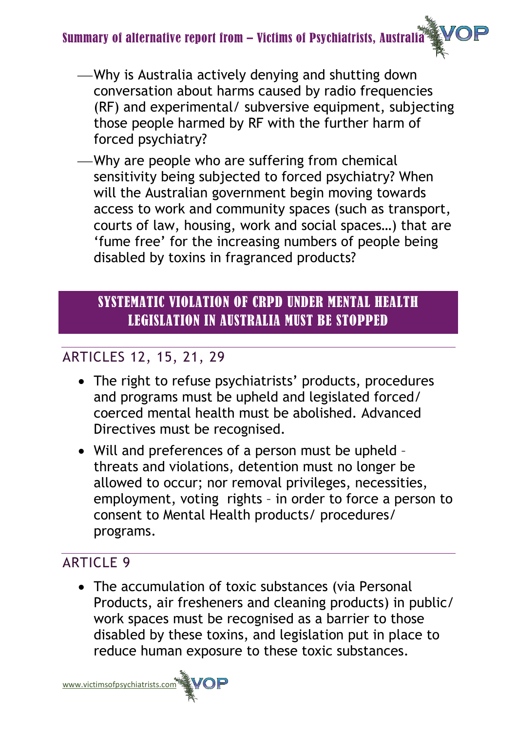## Summary of alternative report from – Victims of Psychiatrists, Australia

- Why is Australia actively denying and shutting down conversation about harms caused by radio frequencies (RF) and experimental/ subversive equipment, subjecting those people harmed by RF with the further harm of forced psychiatry?
- Why are people who are suffering from chemical sensitivity being subjected to forced psychiatry? When will the Australian government begin moving towards access to work and community spaces (such as transport, courts of law, housing, work and social spaces…) that are 'fume free' for the increasing numbers of people being disabled by toxins in fragranced products?

# SYSTEMATIC VIOLATION OF CRPD UNDER MENTAL HEALTH LEGISLATION IN AUSTRALIA MUST BE STOPPED

## ARTICLES 12, 15, 21, 29

- The right to refuse psychiatrists' products, procedures and programs must be upheld and legislated forced/ coerced mental health must be abolished. Advanced Directives must be recognised.
- Will and preferences of a person must be upheld threats and violations, detention must no longer be allowed to occur; nor removal privileges, necessities, employment, voting rights – in order to force a person to consent to Mental Health products/ procedures/ programs.

## ARTICLE 9

• The accumulation of toxic substances (via Personal Products, air fresheners and cleaning products) in public/ work spaces must be recognised as a barrier to those disabled by these toxins, and legislation put in place to reduce human exposure to these toxic substances.